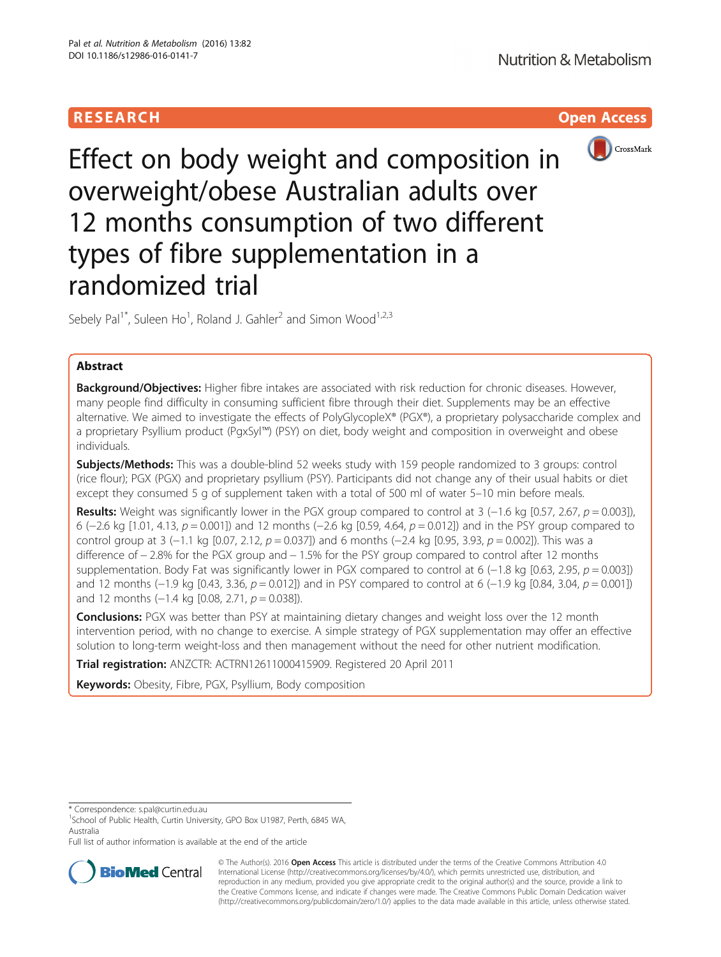# **RESEARCH CHILD CONTROL** CONTROL CONTROL CONTROL CONTROL CONTROL CONTROL CONTROL CONTROL CONTROL CONTROL CONTROL



Effect on body weight and composition in overweight/obese Australian adults over 12 months consumption of two different types of fibre supplementation in a randomized trial

Sebely Pal<sup>1\*</sup>, Suleen Ho<sup>1</sup>, Roland J. Gahler<sup>2</sup> and Simon Wood<sup>1,2,3</sup>

# Abstract

Background/Objectives: Higher fibre intakes are associated with risk reduction for chronic diseases. However, many people find difficulty in consuming sufficient fibre through their diet. Supplements may be an effective alternative. We aimed to investigate the effects of PolyGlycopleX® (PGX®), a proprietary polysaccharide complex and a proprietary Psyllium product (PgxSyl™) (PSY) on diet, body weight and composition in overweight and obese individuals.

**Subjects/Methods:** This was a double-blind 52 weeks study with 159 people randomized to 3 groups: control (rice flour); PGX (PGX) and proprietary psyllium (PSY). Participants did not change any of their usual habits or diet except they consumed 5 g of supplement taken with a total of 500 ml of water 5–10 min before meals.

Results: Weight was significantly lower in the PGX group compared to control at 3 (-1.6 kg [0.57, 2.67,  $p = 0.003$ ]), 6 (−2.6 kg [1.01, 4.13, p = 0.001]) and 12 months (−2.6 kg [0.59, 4.64, p = 0.012]) and in the PSY group compared to control group at 3 (−1.1 kg [0.07, 2.12,  $p = 0.037$ ]) and 6 months (−2.4 kg [0.95, 3.93,  $p = 0.002$ ]). This was a difference of − 2.8% for the PGX group and − 1.5% for the PSY group compared to control after 12 months supplementation. Body Fat was significantly lower in PGX compared to control at 6 (−1.8 kg [0.63, 2.95,  $p = 0.003$ ]) and 12 months (−1.9 kg [0.43, 3.36,  $p = 0.012$ ]) and in PSY compared to control at 6 (−1.9 kg [0.84, 3.04,  $p = 0.001$ ]) and 12 months (-1.4 kg [0.08, 2.71,  $p = 0.038$ ]).

**Conclusions:** PGX was better than PSY at maintaining dietary changes and weight loss over the 12 month intervention period, with no change to exercise. A simple strategy of PGX supplementation may offer an effective solution to long-term weight-loss and then management without the need for other nutrient modification.

Trial registration: ANZCTR: [ACTRN12611000415909](https://www.anzctr.org.au/Trial/Registration/TrialReview.aspx?id=336833). Registered 20 April 2011

Keywords: Obesity, Fibre, PGX, Psyllium, Body composition

\* Correspondence: [s.pal@curtin.edu.au](mailto:s.pal@curtin.edu.au) <sup>1</sup>

Full list of author information is available at the end of the article



© The Author(s). 2016 Open Access This article is distributed under the terms of the Creative Commons Attribution 4.0 International License [\(http://creativecommons.org/licenses/by/4.0/](http://creativecommons.org/licenses/by/4.0/)), which permits unrestricted use, distribution, and reproduction in any medium, provided you give appropriate credit to the original author(s) and the source, provide a link to the Creative Commons license, and indicate if changes were made. The Creative Commons Public Domain Dedication waiver [\(http://creativecommons.org/publicdomain/zero/1.0/](http://creativecommons.org/publicdomain/zero/1.0/)) applies to the data made available in this article, unless otherwise stated.

<sup>&</sup>lt;sup>1</sup>School of Public Health, Curtin University, GPO Box U1987, Perth, 6845 WA, Australia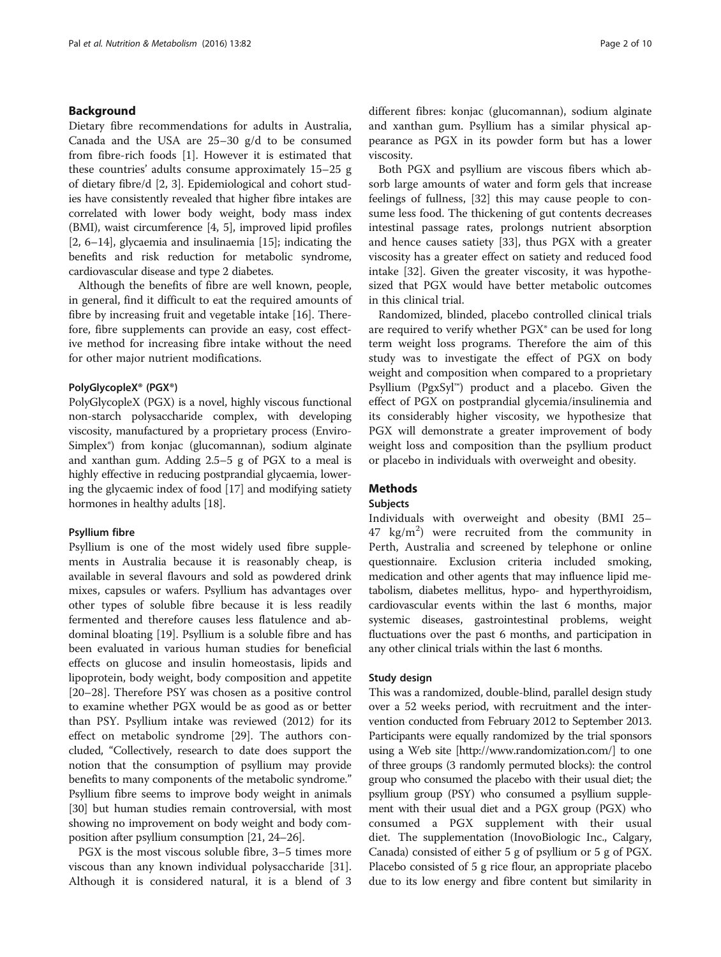# Background

Dietary fibre recommendations for adults in Australia, Canada and the USA are 25–30 g/d to be consumed from fibre-rich foods [[1\]](#page-8-0). However it is estimated that these countries' adults consume approximately 15–25 g of dietary fibre/d [[2](#page-8-0), [3\]](#page-8-0). Epidemiological and cohort studies have consistently revealed that higher fibre intakes are correlated with lower body weight, body mass index (BMI), waist circumference [\[4, 5](#page-8-0)], improved lipid profiles [[2, 6](#page-8-0)–[14](#page-9-0)], glycaemia and insulinaemia [[15](#page-9-0)]; indicating the benefits and risk reduction for metabolic syndrome, cardiovascular disease and type 2 diabetes.

Although the benefits of fibre are well known, people, in general, find it difficult to eat the required amounts of fibre by increasing fruit and vegetable intake [[16\]](#page-9-0). Therefore, fibre supplements can provide an easy, cost effective method for increasing fibre intake without the need for other major nutrient modifications.

## PolyGlycopleX® (PGX®)

PolyGlycopleX (PGX) is a novel, highly viscous functional non-starch polysaccharide complex, with developing viscosity, manufactured by a proprietary process (Enviro-Simplex®) from konjac (glucomannan), sodium alginate and xanthan gum. Adding 2.5–5 g of PGX to a meal is highly effective in reducing postprandial glycaemia, lowering the glycaemic index of food [[17\]](#page-9-0) and modifying satiety hormones in healthy adults [\[18](#page-9-0)].

#### Psyllium fibre

Psyllium is one of the most widely used fibre supplements in Australia because it is reasonably cheap, is available in several flavours and sold as powdered drink mixes, capsules or wafers. Psyllium has advantages over other types of soluble fibre because it is less readily fermented and therefore causes less flatulence and abdominal bloating [\[19](#page-9-0)]. Psyllium is a soluble fibre and has been evaluated in various human studies for beneficial effects on glucose and insulin homeostasis, lipids and lipoprotein, body weight, body composition and appetite [[20](#page-9-0)–[28](#page-9-0)]. Therefore PSY was chosen as a positive control to examine whether PGX would be as good as or better than PSY. Psyllium intake was reviewed (2012) for its effect on metabolic syndrome [[29\]](#page-9-0). The authors concluded, "Collectively, research to date does support the notion that the consumption of psyllium may provide benefits to many components of the metabolic syndrome." Psyllium fibre seems to improve body weight in animals [[30](#page-9-0)] but human studies remain controversial, with most showing no improvement on body weight and body composition after psyllium consumption [\[21, 24](#page-9-0)–[26\]](#page-9-0).

PGX is the most viscous soluble fibre, 3–5 times more viscous than any known individual polysaccharide [\[31](#page-9-0)]. Although it is considered natural, it is a blend of 3

different fibres: konjac (glucomannan), sodium alginate and xanthan gum. Psyllium has a similar physical appearance as PGX in its powder form but has a lower viscosity.

Both PGX and psyllium are viscous fibers which absorb large amounts of water and form gels that increase feelings of fullness, [\[32](#page-9-0)] this may cause people to consume less food. The thickening of gut contents decreases intestinal passage rates, prolongs nutrient absorption and hence causes satiety [\[33\]](#page-9-0), thus PGX with a greater viscosity has a greater effect on satiety and reduced food intake [[32](#page-9-0)]. Given the greater viscosity, it was hypothesized that PGX would have better metabolic outcomes in this clinical trial.

Randomized, blinded, placebo controlled clinical trials are required to verify whether PGX<sup>®</sup> can be used for long term weight loss programs. Therefore the aim of this study was to investigate the effect of PGX on body weight and composition when compared to a proprietary Psyllium (PgxSyl™) product and a placebo. Given the effect of PGX on postprandial glycemia/insulinemia and its considerably higher viscosity, we hypothesize that PGX will demonstrate a greater improvement of body weight loss and composition than the psyllium product or placebo in individuals with overweight and obesity.

# **Methods**

## Subjects

Individuals with overweight and obesity (BMI 25–  $47 \text{ kg/m}^2$ ) were recruited from the community in Perth, Australia and screened by telephone or online questionnaire. Exclusion criteria included smoking, medication and other agents that may influence lipid metabolism, diabetes mellitus, hypo- and hyperthyroidism, cardiovascular events within the last 6 months, major systemic diseases, gastrointestinal problems, weight fluctuations over the past 6 months, and participation in any other clinical trials within the last 6 months.

#### Study design

This was a randomized, double-blind, parallel design study over a 52 weeks period, with recruitment and the intervention conducted from February 2012 to September 2013. Participants were equally randomized by the trial sponsors using a Web site [\[http://www.randomization.com/\]](http://www.randomization.com/) to one of three groups (3 randomly permuted blocks): the control group who consumed the placebo with their usual diet; the psyllium group (PSY) who consumed a psyllium supplement with their usual diet and a PGX group (PGX) who consumed a PGX supplement with their usual diet. The supplementation (InovoBiologic Inc., Calgary, Canada) consisted of either 5 g of psyllium or 5 g of PGX. Placebo consisted of 5 g rice flour, an appropriate placebo due to its low energy and fibre content but similarity in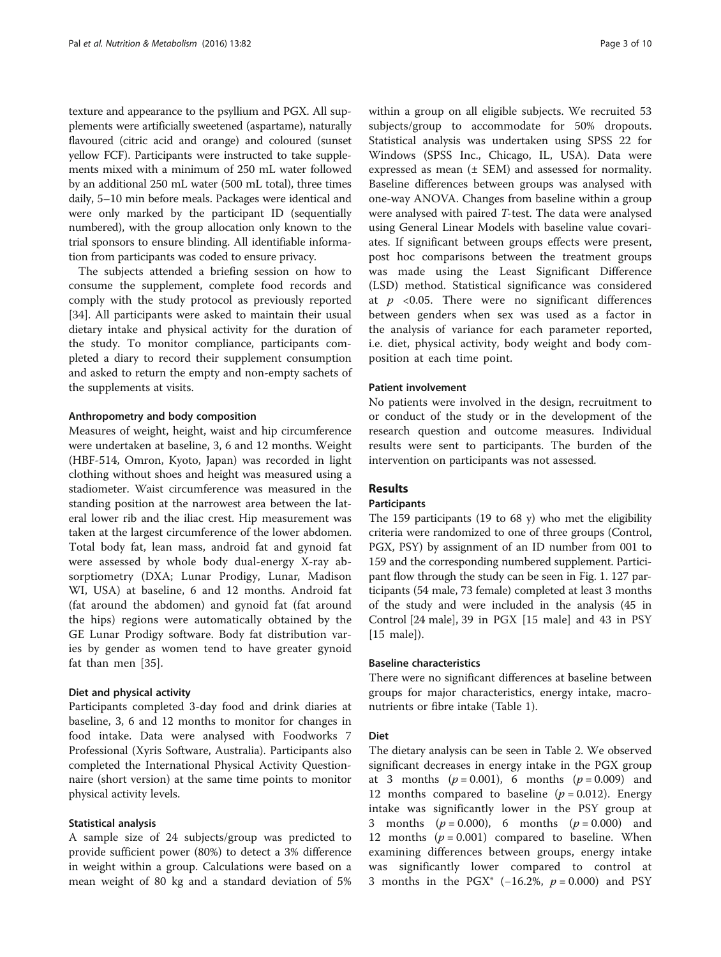texture and appearance to the psyllium and PGX. All supplements were artificially sweetened (aspartame), naturally flavoured (citric acid and orange) and coloured (sunset yellow FCF). Participants were instructed to take supplements mixed with a minimum of 250 mL water followed by an additional 250 mL water (500 mL total), three times daily, 5–10 min before meals. Packages were identical and were only marked by the participant ID (sequentially numbered), with the group allocation only known to the trial sponsors to ensure blinding. All identifiable information from participants was coded to ensure privacy.

The subjects attended a briefing session on how to consume the supplement, complete food records and comply with the study protocol as previously reported [[34\]](#page-9-0). All participants were asked to maintain their usual dietary intake and physical activity for the duration of the study. To monitor compliance, participants completed a diary to record their supplement consumption and asked to return the empty and non-empty sachets of the supplements at visits.

## Anthropometry and body composition

Measures of weight, height, waist and hip circumference were undertaken at baseline, 3, 6 and 12 months. Weight (HBF-514, Omron, Kyoto, Japan) was recorded in light clothing without shoes and height was measured using a stadiometer. Waist circumference was measured in the standing position at the narrowest area between the lateral lower rib and the iliac crest. Hip measurement was taken at the largest circumference of the lower abdomen. Total body fat, lean mass, android fat and gynoid fat were assessed by whole body dual-energy X-ray absorptiometry (DXA; Lunar Prodigy, Lunar, Madison WI, USA) at baseline, 6 and 12 months. Android fat (fat around the abdomen) and gynoid fat (fat around the hips) regions were automatically obtained by the GE Lunar Prodigy software. Body fat distribution varies by gender as women tend to have greater gynoid fat than men [\[35](#page-9-0)].

# Diet and physical activity

Participants completed 3-day food and drink diaries at baseline, 3, 6 and 12 months to monitor for changes in food intake. Data were analysed with Foodworks 7 Professional (Xyris Software, Australia). Participants also completed the International Physical Activity Questionnaire (short version) at the same time points to monitor physical activity levels.

# Statistical analysis

A sample size of 24 subjects/group was predicted to provide sufficient power (80%) to detect a 3% difference in weight within a group. Calculations were based on a mean weight of 80 kg and a standard deviation of 5%

within a group on all eligible subjects. We recruited 53 subjects/group to accommodate for 50% dropouts. Statistical analysis was undertaken using SPSS 22 for Windows (SPSS Inc., Chicago, IL, USA). Data were expressed as mean (± SEM) and assessed for normality. Baseline differences between groups was analysed with one-way ANOVA. Changes from baseline within a group were analysed with paired T-test. The data were analysed using General Linear Models with baseline value covariates. If significant between groups effects were present, post hoc comparisons between the treatment groups was made using the Least Significant Difference (LSD) method. Statistical significance was considered at  $p \leq 0.05$ . There were no significant differences between genders when sex was used as a factor in the analysis of variance for each parameter reported, i.e. diet, physical activity, body weight and body composition at each time point.

### Patient involvement

No patients were involved in the design, recruitment to or conduct of the study or in the development of the research question and outcome measures. Individual results were sent to participants. The burden of the intervention on participants was not assessed.

# Results

## **Participants**

The 159 participants (19 to 68 y) who met the eligibility criteria were randomized to one of three groups (Control, PGX, PSY) by assignment of an ID number from 001 to 159 and the corresponding numbered supplement. Participant flow through the study can be seen in Fig. [1](#page-3-0). 127 participants (54 male, 73 female) completed at least 3 months of the study and were included in the analysis (45 in Control [24 male], 39 in PGX [15 male] and 43 in PSY [15 male]).

## Baseline characteristics

There were no significant differences at baseline between groups for major characteristics, energy intake, macronutrients or fibre intake (Table [1\)](#page-4-0).

## Diet

The dietary analysis can be seen in Table [2.](#page-5-0) We observed significant decreases in energy intake in the PGX group at 3 months ( $p = 0.001$ ), 6 months ( $p = 0.009$ ) and 12 months compared to baseline ( $p = 0.012$ ). Energy intake was significantly lower in the PSY group at 3 months  $(p = 0.000)$ , 6 months  $(p = 0.000)$  and 12 months ( $p = 0.001$ ) compared to baseline. When examining differences between groups, energy intake was significantly lower compared to control at 3 months in the PGX® (−16.2%,  $p = 0.000$ ) and PSY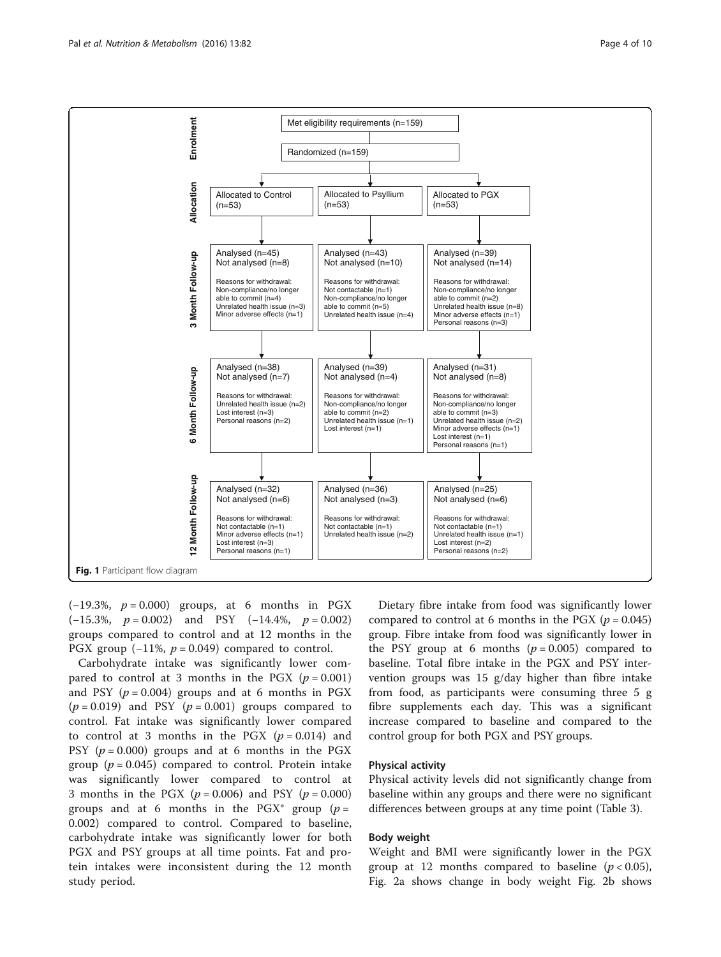<span id="page-3-0"></span>

 $(-19.3\%, p = 0.000)$  groups, at 6 months in PGX  $(-15.3\%, p = 0.002)$  and PSY  $(-14.4\%, p = 0.002)$ groups compared to control and at 12 months in the PGX group  $(-11\%, p = 0.049)$  compared to control.

Carbohydrate intake was significantly lower compared to control at 3 months in the PGX  $(p = 0.001)$ and PSY  $(p = 0.004)$  groups and at 6 months in PGX  $(p = 0.019)$  and PSY  $(p = 0.001)$  groups compared to control. Fat intake was significantly lower compared to control at 3 months in the PGX  $(p = 0.014)$  and PSY ( $p = 0.000$ ) groups and at 6 months in the PGX group ( $p = 0.045$ ) compared to control. Protein intake was significantly lower compared to control at 3 months in the PGX ( $p = 0.006$ ) and PSY ( $p = 0.000$ ) groups and at 6 months in the PGX<sup>®</sup> group ( $p =$ 0.002) compared to control. Compared to baseline, carbohydrate intake was significantly lower for both PGX and PSY groups at all time points. Fat and protein intakes were inconsistent during the 12 month study period.

Dietary fibre intake from food was significantly lower compared to control at 6 months in the PGX ( $p = 0.045$ ) group. Fibre intake from food was significantly lower in the PSY group at 6 months  $(p = 0.005)$  compared to baseline. Total fibre intake in the PGX and PSY intervention groups was 15 g/day higher than fibre intake from food, as participants were consuming three 5 g fibre supplements each day. This was a significant increase compared to baseline and compared to the control group for both PGX and PSY groups.

## Physical activity

Physical activity levels did not significantly change from baseline within any groups and there were no significant differences between groups at any time point (Table [3\)](#page-6-0).

## Body weight

Weight and BMI were significantly lower in the PGX group at 12 months compared to baseline  $(p < 0.05)$ , Fig. [2a](#page-6-0) shows change in body weight Fig. [2b](#page-6-0) shows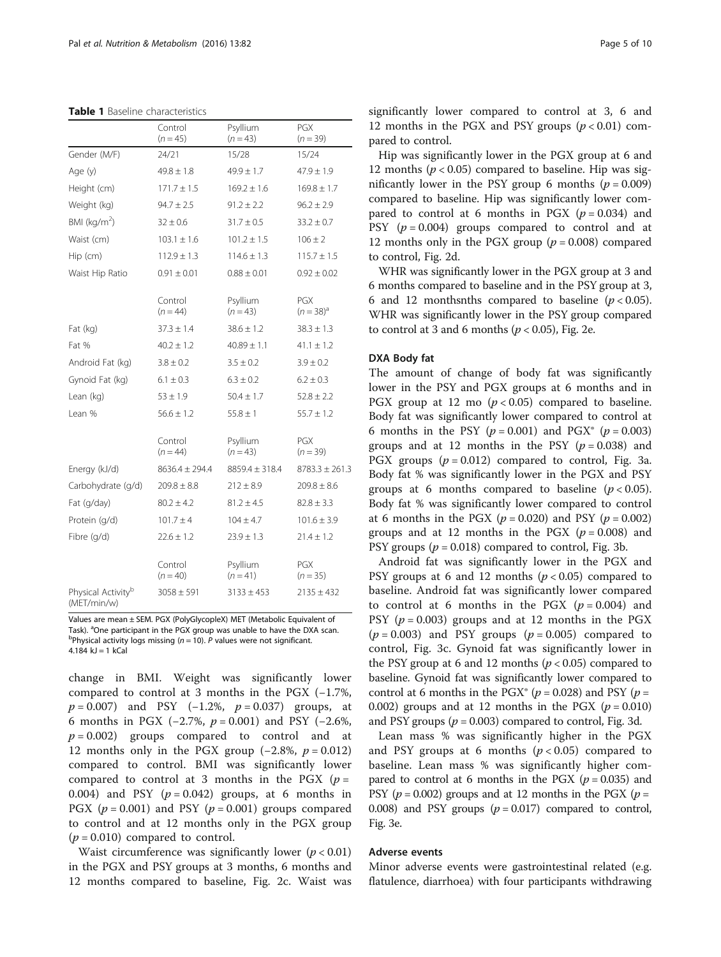<span id="page-4-0"></span>

|  |  | <b>Table 1</b> Baseline characteristics |
|--|--|-----------------------------------------|
|--|--|-----------------------------------------|

|                                               | Control<br>$(n = 45)$ | Psyllium<br>$(n = 43)$ | PGX<br>$(n = 39)$            |  |  |
|-----------------------------------------------|-----------------------|------------------------|------------------------------|--|--|
| Gender (M/F)                                  | 24/21                 | 15/28                  | 15/24                        |  |  |
| Age (y)                                       | $49.8 \pm 1.8$        | $49.9 \pm 1.7$         | $47.9 \pm 1.9$               |  |  |
| Height (cm)                                   | $171.7 \pm 1.5$       | $169.2 \pm 1.6$        | $169.8 \pm 1.7$              |  |  |
| Weight (kg)                                   | $94.7 \pm 2.5$        | $91.2 \pm 2.2$         | $96.2 \pm 2.9$               |  |  |
| BMI ( $kg/m2$ )                               | $32 \pm 0.6$          | $31.7 \pm 0.5$         | $33.2 \pm 0.7$               |  |  |
| Waist (cm)                                    | $103.1 \pm 1.6$       | $101.2 \pm 1.5$        | $106 \pm 2$                  |  |  |
| Hip (cm)                                      | $112.9 \pm 1.3$       | $114.6 \pm 1.3$        | $115.7 \pm 1.5$              |  |  |
| Waist Hip Ratio                               | $0.91 \pm 0.01$       | $0.88 \pm 0.01$        | $0.92 \pm 0.02$              |  |  |
|                                               | Control<br>$(n = 44)$ | Psyllium<br>$(n = 43)$ | <b>PGX</b><br>$(n = 38)^{a}$ |  |  |
| Fat (kg)                                      | $37.3 \pm 1.4$        | $38.6 \pm 1.2$         | $38.3 \pm 1.3$               |  |  |
| Fat %                                         | $40.2 \pm 1.2$        | $40.89 \pm 1.1$        | $41.1 \pm 1.2$               |  |  |
| Android Fat (kg)                              | $3.8 \pm 0.2$         | $3.5 \pm 0.2$          | $3.9 \pm 0.2$                |  |  |
| Gynoid Fat (kg)                               | $6.1 \pm 0.3$         | $6.3 \pm 0.2$          | $6.2 \pm 0.3$                |  |  |
| Lean (kg)                                     | $53 \pm 1.9$          | $50.4 \pm 1.7$         | $52.8 \pm 2.2$               |  |  |
| Lean %                                        | $56.6 \pm 1.2$        | $55.8 \pm 1$           | $55.7 \pm 1.2$               |  |  |
|                                               | Control<br>$(n = 44)$ | Psyllium<br>$(n = 43)$ | PGX<br>$(n = 39)$            |  |  |
| Energy (kJ/d)                                 | $8636.4 \pm 294.4$    | $8859.4 \pm 318.4$     | $8783.3 \pm 261.3$           |  |  |
| Carbohydrate (q/d)                            | $209.8 \pm 8.8$       | $212 \pm 8.9$          | $209.8 \pm 8.6$              |  |  |
| Fat (g/day)                                   | $80.2 \pm 4.2$        | $81.2 \pm 4.5$         | $82.8 \pm 3.3$               |  |  |
| Protein (g/d)                                 | $101.7 \pm 4$         | $104 \pm 4.7$          | $101.6 \pm 3.9$              |  |  |
| Fibre (g/d)                                   | $22.6 \pm 1.2$        | $23.9 \pm 1.3$         | $21.4 \pm 1.2$               |  |  |
|                                               | Control<br>$(n = 40)$ | Psyllium<br>$(n = 41)$ | <b>PGX</b><br>$(n = 35)$     |  |  |
| Physical Activity <sup>b</sup><br>(MET/min/w) | $3058 \pm 591$        | $3133 \pm 453$         | $2135 \pm 432$               |  |  |

Values are mean ± SEM. PGX (PolyGlycopleX) MET (Metabolic Equivalent of Task). <sup>a</sup>One participant in the PGX group was unable to have the DXA scan. <sup>b</sup>Physical activity logs missing ( $n = 10$ ). P values were not significant. 4.184  $k$ J = 1  $k$ Cal

change in BMI. Weight was significantly lower compared to control at 3 months in the PGX (−1.7%,  $p = 0.007$ ) and PSY (-1.2%,  $p = 0.037$ ) groups, at 6 months in PGX (-2.7%,  $p = 0.001$ ) and PSY (-2.6%,  $p = 0.002$ ) groups compared to control and at 12 months only in the PGX group  $(-2.8\%, p = 0.012)$ compared to control. BMI was significantly lower compared to control at 3 months in the PGX  $(p =$ 0.004) and PSY  $(p = 0.042)$  groups, at 6 months in PGX ( $p = 0.001$ ) and PSY ( $p = 0.001$ ) groups compared to control and at 12 months only in the PGX group  $(p = 0.010)$  compared to control.

Waist circumference was significantly lower  $(p < 0.01)$ in the PGX and PSY groups at 3 months, 6 months and 12 months compared to baseline, Fig. [2c](#page-6-0). Waist was significantly lower compared to control at 3, 6 and 12 months in the PGX and PSY groups  $(p < 0.01)$  compared to control.

Hip was significantly lower in the PGX group at 6 and 12 months ( $p < 0.05$ ) compared to baseline. Hip was significantly lower in the PSY group 6 months ( $p = 0.009$ ) compared to baseline. Hip was significantly lower compared to control at 6 months in PGX ( $p = 0.034$ ) and PSY  $(p = 0.004)$  groups compared to control and at 12 months only in the PGX group ( $p = 0.008$ ) compared to control, Fig. [2d](#page-6-0).

WHR was significantly lower in the PGX group at 3 and 6 months compared to baseline and in the PSY group at 3, 6 and 12 monthsnths compared to baseline  $(p < 0.05)$ . WHR was significantly lower in the PSY group compared to control at 3 and 6 months ( $p < 0.05$ ), Fig. [2e.](#page-6-0)

### DXA Body fat

The amount of change of body fat was significantly lower in the PSY and PGX groups at 6 months and in PGX group at 12 mo  $(p < 0.05)$  compared to baseline. Body fat was significantly lower compared to control at 6 months in the PSY ( $p = 0.001$ ) and PGX<sup>®</sup> ( $p = 0.003$ ) groups and at 12 months in the PSY  $(p = 0.038)$  and PGX groups  $(p = 0.012)$  compared to control, Fig. [3a](#page-7-0). Body fat % was significantly lower in the PGX and PSY groups at 6 months compared to baseline  $(p < 0.05)$ . Body fat % was significantly lower compared to control at 6 months in the PGX  $(p = 0.020)$  and PSY  $(p = 0.002)$ groups and at 12 months in the PGX ( $p = 0.008$ ) and PSY groups ( $p = 0.018$ ) compared to control, Fig. [3b.](#page-7-0)

Android fat was significantly lower in the PGX and PSY groups at 6 and 12 months ( $p < 0.05$ ) compared to baseline. Android fat was significantly lower compared to control at 6 months in the PGX  $(p = 0.004)$  and PSY ( $p = 0.003$ ) groups and at 12 months in the PGX  $(p = 0.003)$  and PSY groups  $(p = 0.005)$  compared to control, Fig. [3c.](#page-7-0) Gynoid fat was significantly lower in the PSY group at 6 and 12 months ( $p < 0.05$ ) compared to baseline. Gynoid fat was significantly lower compared to control at 6 months in the PGX<sup>®</sup> ( $p = 0.028$ ) and PSY ( $p =$ 0.002) groups and at 12 months in the PGX  $(p = 0.010)$ and PSY groups ( $p = 0.003$ ) compared to control, Fig. [3d](#page-7-0).

Lean mass % was significantly higher in the PGX and PSY groups at 6 months  $(p < 0.05)$  compared to baseline. Lean mass % was significantly higher compared to control at 6 months in the PGX ( $p = 0.035$ ) and PSY ( $p = 0.002$ ) groups and at 12 months in the PGX ( $p =$ 0.008) and PSY groups  $(p = 0.017)$  compared to control, Fig. [3e](#page-7-0).

## Adverse events

Minor adverse events were gastrointestinal related (e.g. flatulence, diarrhoea) with four participants withdrawing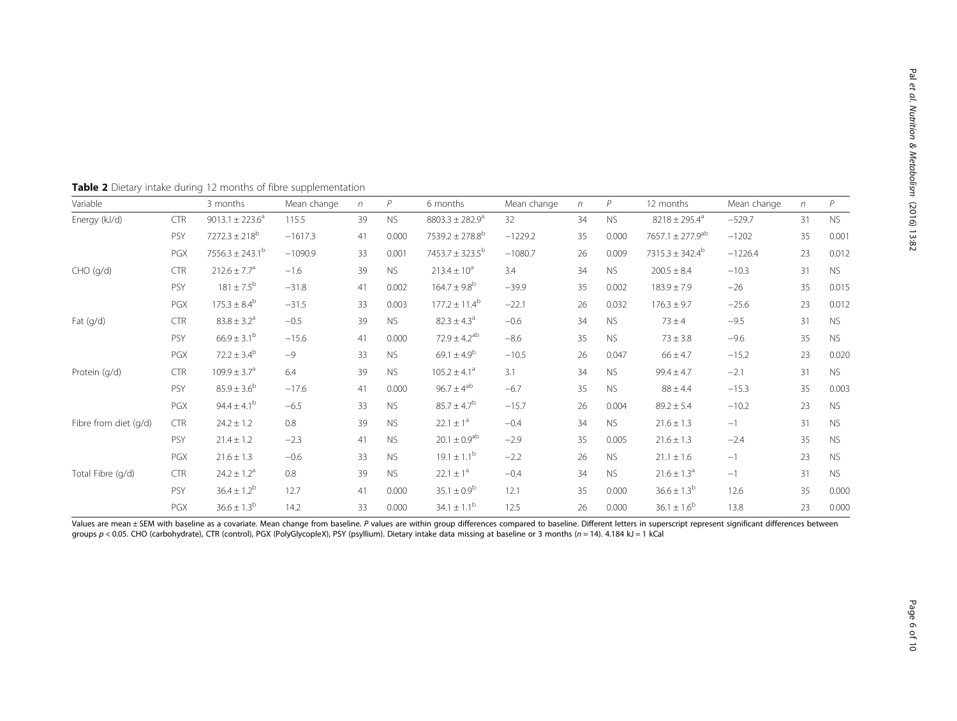| Variable              |            | 3 months                        | Mean change | n  | $\overline{P}$ | 6 months                        | Mean change | $\eta$ | P         | 12 months                        | Mean change | $\sqrt{n}$ | $\overline{P}$ |
|-----------------------|------------|---------------------------------|-------------|----|----------------|---------------------------------|-------------|--------|-----------|----------------------------------|-------------|------------|----------------|
| Energy (kJ/d)         | <b>CTR</b> | $9013.1 \pm 223.6^a$            | 115.5       | 39 | <b>NS</b>      | $8803.3 \pm 282.9^a$            | 32          | 34     | <b>NS</b> | $8218 \pm 295.4^a$               | $-529.7$    | 31         | <b>NS</b>      |
|                       | PSY        | $7272.3 \pm 218^b$              | $-1617.3$   | 41 | 0.000          | $7539.2 \pm 278.8^{\circ}$      | $-1229.2$   | 35     | 0.000     | 7657.1 $\pm$ 277.9 <sup>ab</sup> | $-1202$     | 35         | 0.001          |
|                       | PGX        | $7556.3 \pm 243.1^{\mathrm{b}}$ | $-1090.9$   | 33 | 0.001          | 7453.7 $\pm$ 323.5 <sup>b</sup> | $-1080.7$   | 26     | 0.009     | $7315.3 \pm 342.4^b$             | $-1226.4$   | 23         | 0.012          |
| CHO (q/d)             | <b>CTR</b> | $212.6 \pm 7.7$ <sup>a</sup>    | $-1.6$      | 39 | <b>NS</b>      | $213.4 \pm 10^a$                | 3.4         | 34     | <b>NS</b> | $200.5 \pm 8.4$                  | $-10.3$     | 31         | <b>NS</b>      |
|                       | PSY        | $181 \pm 7.5^{b}$               | $-31.8$     | 41 | 0.002          | $164.7 \pm 9.8^b$               | $-39.9$     | 35     | 0.002     | $183.9 \pm 7.9$                  | $-26$       | 35         | 0.015          |
|                       | PGX        | $175.3 \pm 8.4^b$               | $-31.5$     | 33 | 0.003          | $177.2 \pm 11.4^b$              | $-22.1$     | 26     | 0.032     | $176.3 \pm 9.7$                  | $-25.6$     | 23         | 0.012          |
| Fat $(q/d)$           | <b>CTR</b> | $83.8 \pm 3.2^a$                | $-0.5$      | 39 | <b>NS</b>      | $82.3 \pm 4.3^a$                | $-0.6$      | 34     | <b>NS</b> | $73 \pm 4$                       | $-9.5$      | 31         | <b>NS</b>      |
|                       | PSY        | $66.9 \pm 3.1^{\rm b}$          | $-15.6$     | 41 | 0.000          | $72.9 \pm 4.2$ <sup>ab</sup>    | $-8.6$      | 35     | <b>NS</b> | $73 \pm 3.8$                     | $-9.6$      | 35         | <b>NS</b>      |
|                       | PGX        | $72.2 \pm 3.4^b$                | $-9$        | 33 | <b>NS</b>      | $69.1 \pm 4.9^b$                | $-10.5$     | 26     | 0.047     | $66 \pm 4.7$                     | $-15.2$     | 23         | 0.020          |
| Protein (g/d)         | <b>CTR</b> | $109.9 \pm 3.7^{\circ}$         | 6.4         | 39 | <b>NS</b>      | $105.2 \pm 4.1^a$               | 3.1         | 34     | <b>NS</b> | $99.4 \pm 4.7$                   | $-2.1$      | 31         | <b>NS</b>      |
|                       | PSY        | $85.9 \pm 3.6^{b}$              | $-17.6$     | 41 | 0.000          | $96.7 \pm 4^{ab}$               | $-6.7$      | 35     | <b>NS</b> | $88 \pm 4.4$                     | $-15.3$     | 35         | 0.003          |
|                       | PGX        | $94.4 \pm 4.1^{b}$              | $-6.5$      | 33 | <b>NS</b>      | $85.7 \pm 4.7^b$                | $-15.7$     | 26     | 0.004     | $89.2 \pm 5.4$                   | $-10.2$     | 23         | <b>NS</b>      |
| Fibre from diet (g/d) | <b>CTR</b> | $24.2 \pm 1.2$                  | 0.8         | 39 | <b>NS</b>      | $22.1 \pm 1^a$                  | $-0.4$      | 34     | <b>NS</b> | $21.6 \pm 1.3$                   | $-1$        | 31         | <b>NS</b>      |
|                       | PSY        | $21.4 \pm 1.2$                  | $-2.3$      | 41 | <b>NS</b>      | $20.1 \pm 0.9^{ab}$             | $-2.9$      | 35     | 0.005     | $21.6 \pm 1.3$                   | $-2.4$      | 35         | <b>NS</b>      |
|                       | PGX        | $21.6 \pm 1.3$                  | $-0.6$      | 33 | <b>NS</b>      | $19.1 \pm 1.1^{\rm b}$          | $-2.2$      | 26     | <b>NS</b> | $21.1 \pm 1.6$                   | $-1$        | 23         | <b>NS</b>      |
| Total Fibre (g/d)     | <b>CTR</b> | $24.2 \pm 1.2^a$                | 0.8         | 39 | <b>NS</b>      | $22.1 \pm 1^a$                  | $-0.4$      | 34     | <b>NS</b> | $21.6 \pm 1.3^a$                 | $-1$        | 31         | <b>NS</b>      |
|                       | PSY        | $36.4 \pm 1.2^{b}$              | 12.7        | 41 | 0.000          | $35.1 \pm 0.9^b$                | 12.1        | 35     | 0.000     | $36.6 \pm 1.3^{b}$               | 12.6        | 35         | 0.000          |
|                       | PGX        | $36.6 \pm 1.3^b$                | 14.2        | 33 | 0.000          | $34.1 \pm 1.1^b$                | 12.5        | 26     | 0.000     | $36.1 \pm 1.6^b$                 | 13.8        | 23         | 0.000          |

<span id="page-5-0"></span>Table 2 Dietary intake during 12 months of fibre supplementation

Values are mean ± SEM with baseline as a covariate. Mean change from baseline. P values are within group differences compared to baseline. Different letters in superscript represent significant differences between groups p < 0.05. CHO (carbohydrate), CTR (control), PGX (PolyGlycopleX), PSY (psyllium). Dietary intake data missing at baseline or 3 months (n = 14). 4.184 kJ = 1 kCal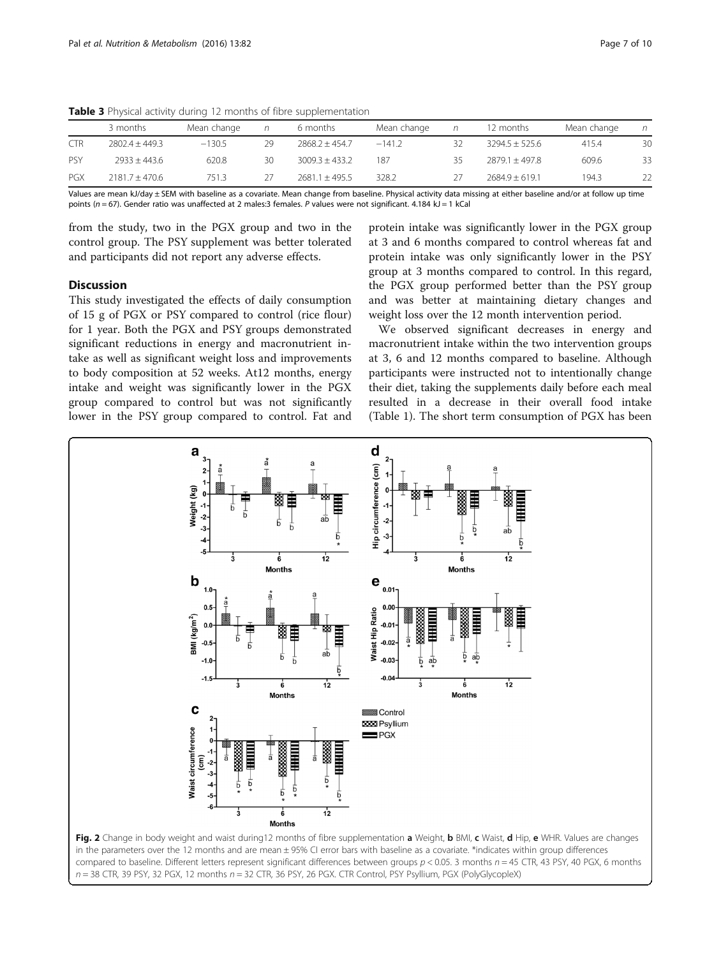|            | 3 months           | Mean change |    | 6 months           | Mean change | n  | 12 months          | Mean change | n  |
|------------|--------------------|-------------|----|--------------------|-------------|----|--------------------|-------------|----|
| <b>CTR</b> | $2802.4 + 449.3$   | $-130.5$    | 29 | $2868.2 \pm 454.7$ | $-141.2$    | 32 | $3294.5 \pm 525.6$ | 415.4       | 30 |
| <b>PSY</b> | $7933 + 443.6$     | 620.8       | 30 | $3009.3 + 433.2$   | 187         | 35 | $2879.1 + 497.8$   | 609.6       | 33 |
| PGX        | $2181.7 \pm 470.6$ | 7513        |    | $2681.1 \pm 495.5$ | 328.2       | 27 | $2684.9 \pm 619.1$ | 194.3       | 22 |

<span id="page-6-0"></span>Table 3 Physical activity during 12 months of fibre supplementation

Values are mean kJ/day ± SEM with baseline as a covariate. Mean change from baseline. Physical activity data missing at either baseline and/or at follow up time points ( $n = 67$ ). Gender ratio was unaffected at 2 males:3 females. P values were not significant. 4.184 kJ = 1 kCal

from the study, two in the PGX group and two in the control group. The PSY supplement was better tolerated and participants did not report any adverse effects.

# **Discussion**

This study investigated the effects of daily consumption of 15 g of PGX or PSY compared to control (rice flour) for 1 year. Both the PGX and PSY groups demonstrated significant reductions in energy and macronutrient intake as well as significant weight loss and improvements to body composition at 52 weeks. At12 months, energy intake and weight was significantly lower in the PGX group compared to control but was not significantly lower in the PSY group compared to control. Fat and

protein intake was significantly lower in the PGX group at 3 and 6 months compared to control whereas fat and protein intake was only significantly lower in the PSY group at 3 months compared to control. In this regard, the PGX group performed better than the PSY group and was better at maintaining dietary changes and weight loss over the 12 month intervention period.

We observed significant decreases in energy and macronutrient intake within the two intervention groups at 3, 6 and 12 months compared to baseline. Although participants were instructed not to intentionally change their diet, taking the supplements daily before each meal resulted in a decrease in their overall food intake (Table [1](#page-4-0)). The short term consumption of PGX has been

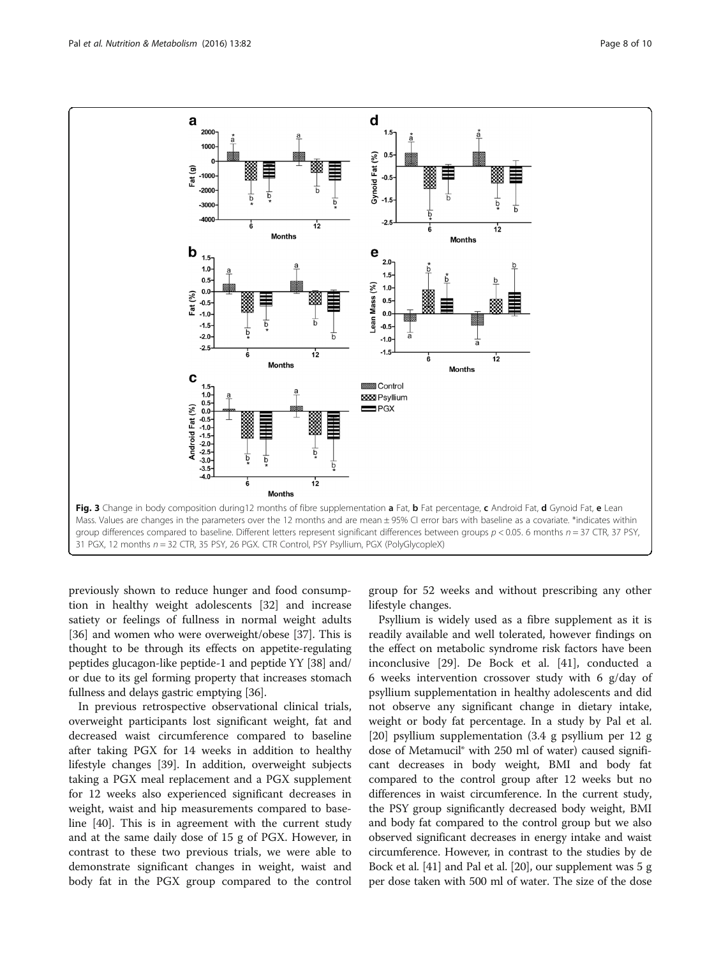<span id="page-7-0"></span>

previously shown to reduce hunger and food consumption in healthy weight adolescents [\[32](#page-9-0)] and increase satiety or feelings of fullness in normal weight adults [[36\]](#page-9-0) and women who were overweight/obese [\[37\]](#page-9-0). This is thought to be through its effects on appetite-regulating peptides glucagon-like peptide-1 and peptide YY [[38](#page-9-0)] and/ or due to its gel forming property that increases stomach fullness and delays gastric emptying [\[36](#page-9-0)].

In previous retrospective observational clinical trials, overweight participants lost significant weight, fat and decreased waist circumference compared to baseline after taking PGX for 14 weeks in addition to healthy lifestyle changes [\[39](#page-9-0)]. In addition, overweight subjects taking a PGX meal replacement and a PGX supplement for 12 weeks also experienced significant decreases in weight, waist and hip measurements compared to baseline [[40](#page-9-0)]. This is in agreement with the current study and at the same daily dose of 15 g of PGX. However, in contrast to these two previous trials, we were able to demonstrate significant changes in weight, waist and body fat in the PGX group compared to the control

group for 52 weeks and without prescribing any other lifestyle changes.

Psyllium is widely used as a fibre supplement as it is readily available and well tolerated, however findings on the effect on metabolic syndrome risk factors have been inconclusive [[29\]](#page-9-0). De Bock et al. [[41](#page-9-0)], conducted a 6 weeks intervention crossover study with 6 g/day of psyllium supplementation in healthy adolescents and did not observe any significant change in dietary intake, weight or body fat percentage. In a study by Pal et al. [[20\]](#page-9-0) psyllium supplementation (3.4 g psyllium per 12 g dose of Metamucil® with 250 ml of water) caused significant decreases in body weight, BMI and body fat compared to the control group after 12 weeks but no differences in waist circumference. In the current study, the PSY group significantly decreased body weight, BMI and body fat compared to the control group but we also observed significant decreases in energy intake and waist circumference. However, in contrast to the studies by de Bock et al. [\[41\]](#page-9-0) and Pal et al. [\[20\]](#page-9-0), our supplement was 5 g per dose taken with 500 ml of water. The size of the dose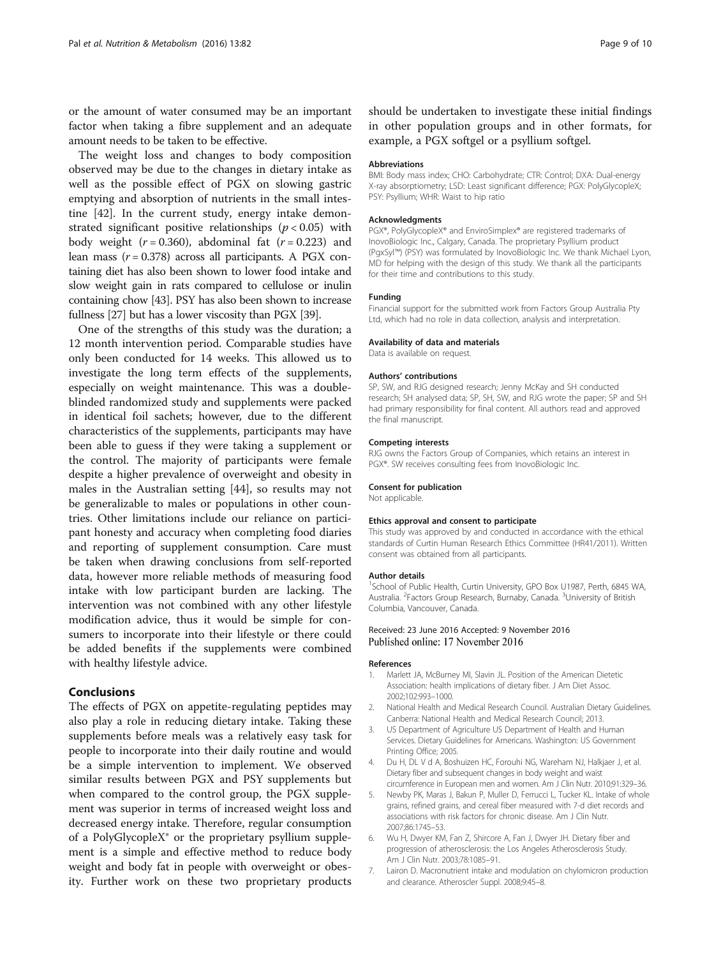<span id="page-8-0"></span>or the amount of water consumed may be an important factor when taking a fibre supplement and an adequate amount needs to be taken to be effective.

The weight loss and changes to body composition observed may be due to the changes in dietary intake as well as the possible effect of PGX on slowing gastric emptying and absorption of nutrients in the small intestine [\[42](#page-9-0)]. In the current study, energy intake demonstrated significant positive relationships ( $p < 0.05$ ) with body weight  $(r = 0.360)$ , abdominal fat  $(r = 0.223)$  and lean mass  $(r = 0.378)$  across all participants. A PGX containing diet has also been shown to lower food intake and slow weight gain in rats compared to cellulose or inulin containing chow [\[43](#page-9-0)]. PSY has also been shown to increase fullness [[27](#page-9-0)] but has a lower viscosity than PGX [\[39\]](#page-9-0).

One of the strengths of this study was the duration; a 12 month intervention period. Comparable studies have only been conducted for 14 weeks. This allowed us to investigate the long term effects of the supplements, especially on weight maintenance. This was a doubleblinded randomized study and supplements were packed in identical foil sachets; however, due to the different characteristics of the supplements, participants may have been able to guess if they were taking a supplement or the control. The majority of participants were female despite a higher prevalence of overweight and obesity in males in the Australian setting [\[44](#page-9-0)], so results may not be generalizable to males or populations in other countries. Other limitations include our reliance on participant honesty and accuracy when completing food diaries and reporting of supplement consumption. Care must be taken when drawing conclusions from self-reported data, however more reliable methods of measuring food intake with low participant burden are lacking. The intervention was not combined with any other lifestyle modification advice, thus it would be simple for consumers to incorporate into their lifestyle or there could be added benefits if the supplements were combined with healthy lifestyle advice.

# Conclusions

The effects of PGX on appetite-regulating peptides may also play a role in reducing dietary intake. Taking these supplements before meals was a relatively easy task for people to incorporate into their daily routine and would be a simple intervention to implement. We observed similar results between PGX and PSY supplements but when compared to the control group, the PGX supplement was superior in terms of increased weight loss and decreased energy intake. Therefore, regular consumption of a PolyGlycopleX® or the proprietary psyllium supplement is a simple and effective method to reduce body weight and body fat in people with overweight or obesity. Further work on these two proprietary products should be undertaken to investigate these initial findings in other population groups and in other formats, for example, a PGX softgel or a psyllium softgel.

#### Abbreviations

BMI: Body mass index; CHO: Carbohydrate; CTR: Control; DXA: Dual-energy X-ray absorptiometry; LSD: Least significant difference; PGX: PolyGlycopleX; PSY: Psyllium; WHR: Waist to hip ratio

#### Acknowledgments

PGX®, PolyGlycopleX® and EnviroSimplex® are registered trademarks of InovoBiologic Inc., Calgary, Canada. The proprietary Psyllium product (PgxSyl™) (PSY) was formulated by InovoBiologic Inc. We thank Michael Lyon, MD for helping with the design of this study. We thank all the participants for their time and contributions to this study.

#### Funding

Financial support for the submitted work from Factors Group Australia Pty Ltd, which had no role in data collection, analysis and interpretation.

#### Availability of data and materials

Data is available on request.

#### Authors' contributions

SP, SW, and RJG designed research; Jenny McKay and SH conducted research; SH analysed data; SP, SH, SW, and RJG wrote the paper; SP and SH had primary responsibility for final content. All authors read and approved the final manuscript.

#### Competing interests

RJG owns the Factors Group of Companies, which retains an interest in PGX®. SW receives consulting fees from InovoBiologic Inc.

## Consent for publication

Not applicable.

#### Ethics approval and consent to participate

This study was approved by and conducted in accordance with the ethical standards of Curtin Human Research Ethics Committee (HR41/2011). Written consent was obtained from all participants.

#### Author details

<sup>1</sup>School of Public Health, Curtin University, GPO Box U1987, Perth, 6845 WA Australia. <sup>2</sup> Factors Group Research, Burnaby, Canada. <sup>3</sup> University of British Columbia, Vancouver, Canada.

## Received: 23 June 2016 Accepted: 9 November 2016 Published online: 17 November 2016

#### References

- 1. Marlett JA, McBurney MI, Slavin JL. Position of the American Dietetic Association: health implications of dietary fiber. J Am Diet Assoc. 2002;102:993–1000.
- 2. National Health and Medical Research Council. Australian Dietary Guidelines. Canberra: National Health and Medical Research Council; 2013.
- 3. US Department of Agriculture US Department of Health and Human Services. Dietary Guidelines for Americans. Washington: US Government Printing Office; 2005.
- 4. Du H, DL V d A, Boshuizen HC, Forouhi NG, Wareham NJ, Halkjaer J, et al. Dietary fiber and subsequent changes in body weight and waist circumference in European men and women. Am J Clin Nutr. 2010;91:329–36.
- 5. Newby PK, Maras J, Bakun P, Muller D, Ferrucci L, Tucker KL. Intake of whole grains, refined grains, and cereal fiber measured with 7-d diet records and associations with risk factors for chronic disease. Am J Clin Nutr. 2007;86:1745–53.
- 6. Wu H, Dwyer KM, Fan Z, Shircore A, Fan J, Dwyer JH. Dietary fiber and progression of atherosclerosis: the Los Angeles Atherosclerosis Study. Am J Clin Nutr. 2003;78:1085–91.
- 7. Lairon D. Macronutrient intake and modulation on chylomicron production and clearance. Atheroscler Suppl. 2008;9:45–8.